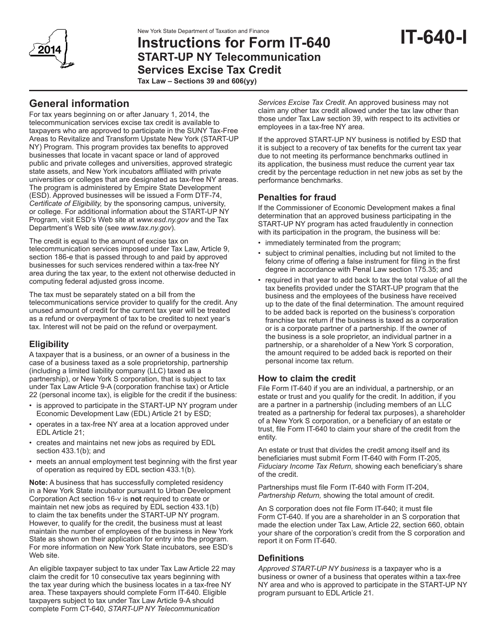# **Instructions for Form IT-640 START-UP NY Telecommunication Services Excise Tax Credit**

**Tax Law – Sections 39 and 606(yy)**

# **General information**

For tax years beginning on or after January 1, 2014, the telecommunication services excise tax credit is available to taxpayers who are approved to participate in the SUNY Tax-Free Areas to Revitalize and Transform Upstate New York (START-UP NY) Program. This program provides tax benefits to approved businesses that locate in vacant space or land of approved public and private colleges and universities, approved strategic state assets, and New York incubators affiliated with private universities or colleges that are designated as tax-free NY areas. The program is administered by Empire State Development (ESD). Approved businesses will be issued a Form DTF-74, *Certificate of Eligibility,* by the sponsoring campus, university, or college. For additional information about the START-UP NY Program, visit ESD's Web site at *www.esd.ny.gov* and the Tax Department's Web site (see *www.tax.ny.gov*).

The credit is equal to the amount of excise tax on telecommunication services imposed under Tax Law, Article 9, section 186-e that is passed through to and paid by approved businesses for such services rendered within a tax-free NY area during the tax year, to the extent not otherwise deducted in computing federal adjusted gross income.

The tax must be separately stated on a bill from the telecommunications service provider to qualify for the credit. Any unused amount of credit for the current tax year will be treated as a refund or overpayment of tax to be credited to next year's tax. Interest will not be paid on the refund or overpayment.

## **Eligibility**

A taxpayer that is a business, or an owner of a business in the case of a business taxed as a sole proprietorship, partnership (including a limited liability company (LLC) taxed as a partnership), or New York S corporation, that is subject to tax under Tax Law Article 9-A (corporation franchise tax) or Article 22 (personal income tax), is eligible for the credit if the business:

- is approved to participate in the START-UP NY program under Economic Development Law (EDL) Article 21 by ESD;
- operates in a tax-free NY area at a location approved under EDL Article 21;
- creates and maintains net new jobs as required by EDL section 433.1(b); and
- meets an annual employment test beginning with the first year of operation as required by EDL section 433.1(b).

**Note:** A business that has successfully completed residency in a New York State incubator pursuant to Urban Development Corporation Act section 16-v is **not** required to create or maintain net new jobs as required by EDL section 433.1(b) to claim the tax benefits under the START-UP NY program. However, to qualify for the credit, the business must at least maintain the number of employees of the business in New York State as shown on their application for entry into the program. For more information on New York State incubators, see ESD's Web site.

An eligible taxpayer subject to tax under Tax Law Article 22 may claim the credit for 10 consecutive tax years beginning with the tax year during which the business locates in a tax-free NY area. These taxpayers should complete Form IT-640. Eligible taxpayers subject to tax under Tax Law Article 9-A should complete Form CT-640, *START-UP NY Telecommunication* 

*Services Excise Tax Credit*. An approved business may not claim any other tax credit allowed under the tax law other than those under Tax Law section 39, with respect to its activities or employees in a tax-free NY area.

**IT-640-I**

If the approved START-UP NY business is notified by ESD that it is subject to a recovery of tax benefits for the current tax year due to not meeting its performance benchmarks outlined in its application, the business must reduce the current year tax credit by the percentage reduction in net new jobs as set by the performance benchmarks.

## **Penalties for fraud**

If the Commissioner of Economic Development makes a final determination that an approved business participating in the START-UP NY program has acted fraudulently in connection with its participation in the program, the business will be:

- immediately terminated from the program;
- subject to criminal penalties, including but not limited to the felony crime of offering a false instrument for filing in the first degree in accordance with Penal Law section 175.35; and
- required in that year to add back to tax the total value of all the tax benefits provided under the START-UP program that the business and the employees of the business have received up to the date of the final determination. The amount required to be added back is reported on the business's corporation franchise tax return if the business is taxed as a corporation or is a corporate partner of a partnership. If the owner of the business is a sole proprietor, an individual partner in a partnership, or a shareholder of a New York S corporation, the amount required to be added back is reported on their personal income tax return.

## **How to claim the credit**

File Form IT-640 if you are an individual, a partnership, or an estate or trust and you qualify for the credit. In addition, if you are a partner in a partnership (including members of an LLC treated as a partnership for federal tax purposes), a shareholder of a New York S corporation, or a beneficiary of an estate or trust, file Form IT-640 to claim your share of the credit from the entity.

An estate or trust that divides the credit among itself and its beneficiaries must submit Form IT-640 with Form IT-205, *Fiduciary Income Tax Return,* showing each beneficiary's share of the credit.

Partnerships must file Form IT-640 with Form IT-204, *Partnership Return,* showing the total amount of credit.

An S corporation does not file Form IT-640; it must file Form CT-640. If you are a shareholder in an S corporation that made the election under Tax Law, Article 22, section 660, obtain your share of the corporation's credit from the S corporation and report it on Form IT-640.

## **Definitions**

*Approved START-UP NY business* is a taxpayer who is a business or owner of a business that operates within a tax-free NY area and who is approved to participate in the START-UP NY program pursuant to EDL Article 21.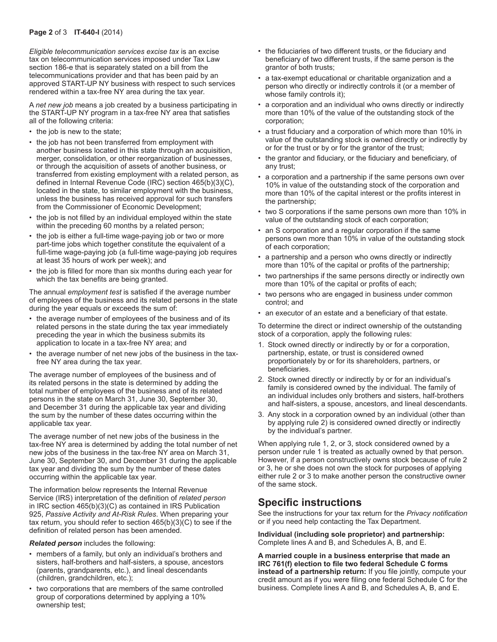*Eligible telecommunication services excise tax* is an excise tax on telecommunication services imposed under Tax Law section 186-e that is separately stated on a bill from the telecommunications provider and that has been paid by an approved START-UP NY business with respect to such services rendered within a tax-free NY area during the tax year.

A *net new job* means a job created by a business participating in the START-UP NY program in a tax-free NY area that satisfies all of the following criteria:

- the job is new to the state;
- the job has not been transferred from employment with another business located in this state through an acquisition, merger, consolidation, or other reorganization of businesses, or through the acquisition of assets of another business, or transferred from existing employment with a related person, as defined in Internal Revenue Code (IRC) section 465(b)(3)(C), located in the state, to similar employment with the business, unless the business has received approval for such transfers from the Commissioner of Economic Development;
- the job is not filled by an individual employed within the state within the preceding 60 months by a related person;
- the job is either a full-time wage-paying job or two or more part-time jobs which together constitute the equivalent of a full-time wage-paying job (a full-time wage-paying job requires at least 35 hours of work per week); and
- the job is filled for more than six months during each year for which the tax benefits are being granted.

The annual *employment test* is satisfied if the average number of employees of the business and its related persons in the state during the year equals or exceeds the sum of:

- the average number of employees of the business and of its related persons in the state during the tax year immediately preceding the year in which the business submits its application to locate in a tax-free NY area; and
- the average number of net new jobs of the business in the taxfree NY area during the tax year.

The average number of employees of the business and of its related persons in the state is determined by adding the total number of employees of the business and of its related persons in the state on March 31, June 30, September 30, and December 31 during the applicable tax year and dividing the sum by the number of these dates occurring within the applicable tax year.

The average number of net new jobs of the business in the tax-free NY area is determined by adding the total number of net new jobs of the business in the tax-free NY area on March 31, June 30, September 30, and December 31 during the applicable tax year and dividing the sum by the number of these dates occurring within the applicable tax year.

The information below represents the Internal Revenue Service (IRS) interpretation of the definition of *related person* in IRC section 465(b)(3)(C) as contained in IRS Publication 925, *Passive Activity and At-Risk Rules*. When preparing your tax return, you should refer to section 465(b)(3)(C) to see if the definition of related person has been amended.

*Related person* includes the following:

- members of a family, but only an individual's brothers and sisters, half-brothers and half-sisters, a spouse, ancestors (parents, grandparents, etc.), and lineal descendants (children, grandchildren, etc.);
- two corporations that are members of the same controlled group of corporations determined by applying a 10% ownership test;
- the fiduciaries of two different trusts, or the fiduciary and beneficiary of two different trusts, if the same person is the grantor of both trusts;
- a tax-exempt educational or charitable organization and a person who directly or indirectly controls it (or a member of whose family controls it);
- a corporation and an individual who owns directly or indirectly more than 10% of the value of the outstanding stock of the corporation;
- a trust fiduciary and a corporation of which more than 10% in value of the outstanding stock is owned directly or indirectly by or for the trust or by or for the grantor of the trust;
- the grantor and fiduciary, or the fiduciary and beneficiary, of any trust;
- a corporation and a partnership if the same persons own over 10% in value of the outstanding stock of the corporation and more than 10% of the capital interest or the profits interest in the partnership;
- two S corporations if the same persons own more than 10% in value of the outstanding stock of each corporation;
- an S corporation and a regular corporation if the same persons own more than 10% in value of the outstanding stock of each corporation;
- a partnership and a person who owns directly or indirectly more than 10% of the capital or profits of the partnership;
- two partnerships if the same persons directly or indirectly own more than 10% of the capital or profits of each;
- two persons who are engaged in business under common control; and
- an executor of an estate and a beneficiary of that estate.

To determine the direct or indirect ownership of the outstanding stock of a corporation, apply the following rules:

- 1. Stock owned directly or indirectly by or for a corporation, partnership, estate, or trust is considered owned proportionately by or for its shareholders, partners, or beneficiaries.
- 2. Stock owned directly or indirectly by or for an individual's family is considered owned by the individual. The family of an individual includes only brothers and sisters, half-brothers and half-sisters, a spouse, ancestors, and lineal descendants.
- 3. Any stock in a corporation owned by an individual (other than by applying rule 2) is considered owned directly or indirectly by the individual's partner.

When applying rule 1, 2, or 3, stock considered owned by a person under rule 1 is treated as actually owned by that person. However, if a person constructively owns stock because of rule 2 or 3, he or she does not own the stock for purposes of applying either rule 2 or 3 to make another person the constructive owner of the same stock.

# **Specific instructions**

See the instructions for your tax return for the *Privacy notification* or if you need help contacting the Tax Department.

**Individual (including sole proprietor) and partnership:** Complete lines A and B, and Schedules A, B, and E.

**A married couple in a business enterprise that made an IRC 761(f) election to file two federal Schedule C forms instead of a partnership return:** If you file jointly, compute your credit amount as if you were filing one federal Schedule C for the business. Complete lines A and B, and Schedules A, B, and E.